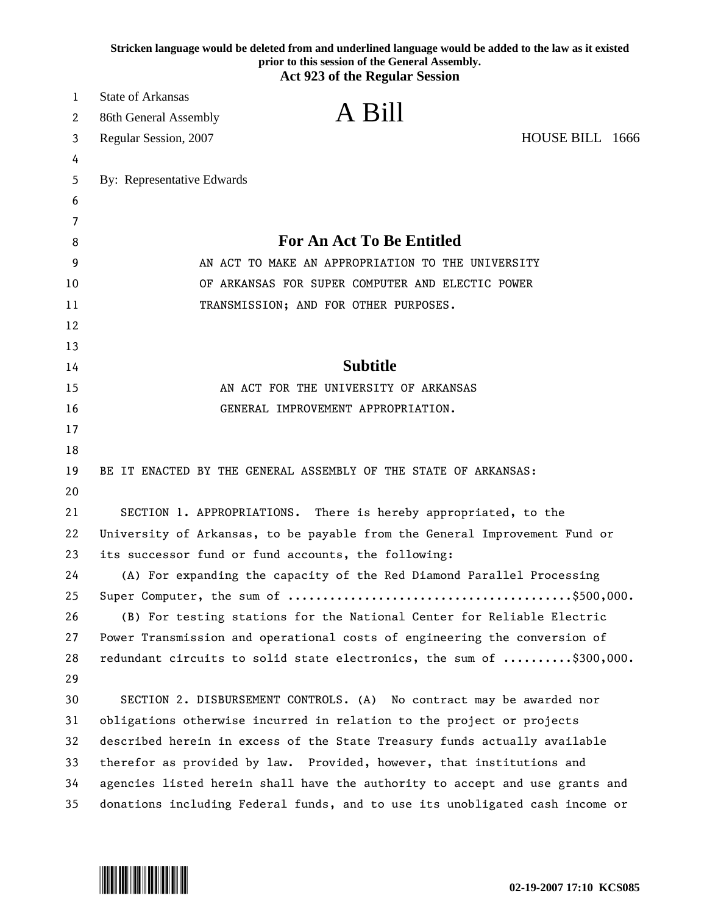|        |                                                                            | Stricken language would be deleted from and underlined language would be added to the law as it existed<br>prior to this session of the General Assembly. |  |
|--------|----------------------------------------------------------------------------|-----------------------------------------------------------------------------------------------------------------------------------------------------------|--|
|        |                                                                            | <b>Act 923 of the Regular Session</b>                                                                                                                     |  |
| 1      | State of Arkansas                                                          | A Bill                                                                                                                                                    |  |
| 2      | 86th General Assembly                                                      |                                                                                                                                                           |  |
| 3      | Regular Session, 2007                                                      | HOUSE BILL 1666                                                                                                                                           |  |
| 4      |                                                                            |                                                                                                                                                           |  |
| 5      | By: Representative Edwards                                                 |                                                                                                                                                           |  |
| 6      |                                                                            |                                                                                                                                                           |  |
| 7<br>8 |                                                                            | <b>For An Act To Be Entitled</b>                                                                                                                          |  |
| 9      | AN ACT TO MAKE AN APPROPRIATION TO THE UNIVERSITY                          |                                                                                                                                                           |  |
| 10     |                                                                            | OF ARKANSAS FOR SUPER COMPUTER AND ELECTIC POWER                                                                                                          |  |
| 11     |                                                                            | TRANSMISSION; AND FOR OTHER PURPOSES.                                                                                                                     |  |
| 12     |                                                                            |                                                                                                                                                           |  |
| 13     |                                                                            |                                                                                                                                                           |  |
| 14     |                                                                            | <b>Subtitle</b>                                                                                                                                           |  |
| 15     |                                                                            | AN ACT FOR THE UNIVERSITY OF ARKANSAS                                                                                                                     |  |
| 16     |                                                                            | GENERAL IMPROVEMENT APPROPRIATION.                                                                                                                        |  |
| 17     |                                                                            |                                                                                                                                                           |  |
| 18     |                                                                            |                                                                                                                                                           |  |
| 19     |                                                                            | BE IT ENACTED BY THE GENERAL ASSEMBLY OF THE STATE OF ARKANSAS:                                                                                           |  |
| 20     |                                                                            |                                                                                                                                                           |  |
| 21     |                                                                            | SECTION 1. APPROPRIATIONS. There is hereby appropriated, to the                                                                                           |  |
| 22     | University of Arkansas, to be payable from the General Improvement Fund or |                                                                                                                                                           |  |
| 23     | its successor fund or fund accounts, the following:                        |                                                                                                                                                           |  |
| 24     |                                                                            | (A) For expanding the capacity of the Red Diamond Parallel Processing                                                                                     |  |
| 25     |                                                                            |                                                                                                                                                           |  |
| 26     |                                                                            | (B) For testing stations for the National Center for Reliable Electric                                                                                    |  |
| 27     |                                                                            | Power Transmission and operational costs of engineering the conversion of                                                                                 |  |
| 28     |                                                                            | redundant circuits to solid state electronics, the sum of \$300,000.                                                                                      |  |
| 29     |                                                                            |                                                                                                                                                           |  |
| 30     |                                                                            | SECTION 2. DISBURSEMENT CONTROLS. (A) No contract may be awarded nor                                                                                      |  |
| 31     |                                                                            | obligations otherwise incurred in relation to the project or projects                                                                                     |  |
| 32     |                                                                            | described herein in excess of the State Treasury funds actually available                                                                                 |  |
| 33     |                                                                            | therefor as provided by law. Provided, however, that institutions and                                                                                     |  |
| 34     |                                                                            | agencies listed herein shall have the authority to accept and use grants and                                                                              |  |
| 35     |                                                                            | donations including Federal funds, and to use its unobligated cash income or                                                                              |  |